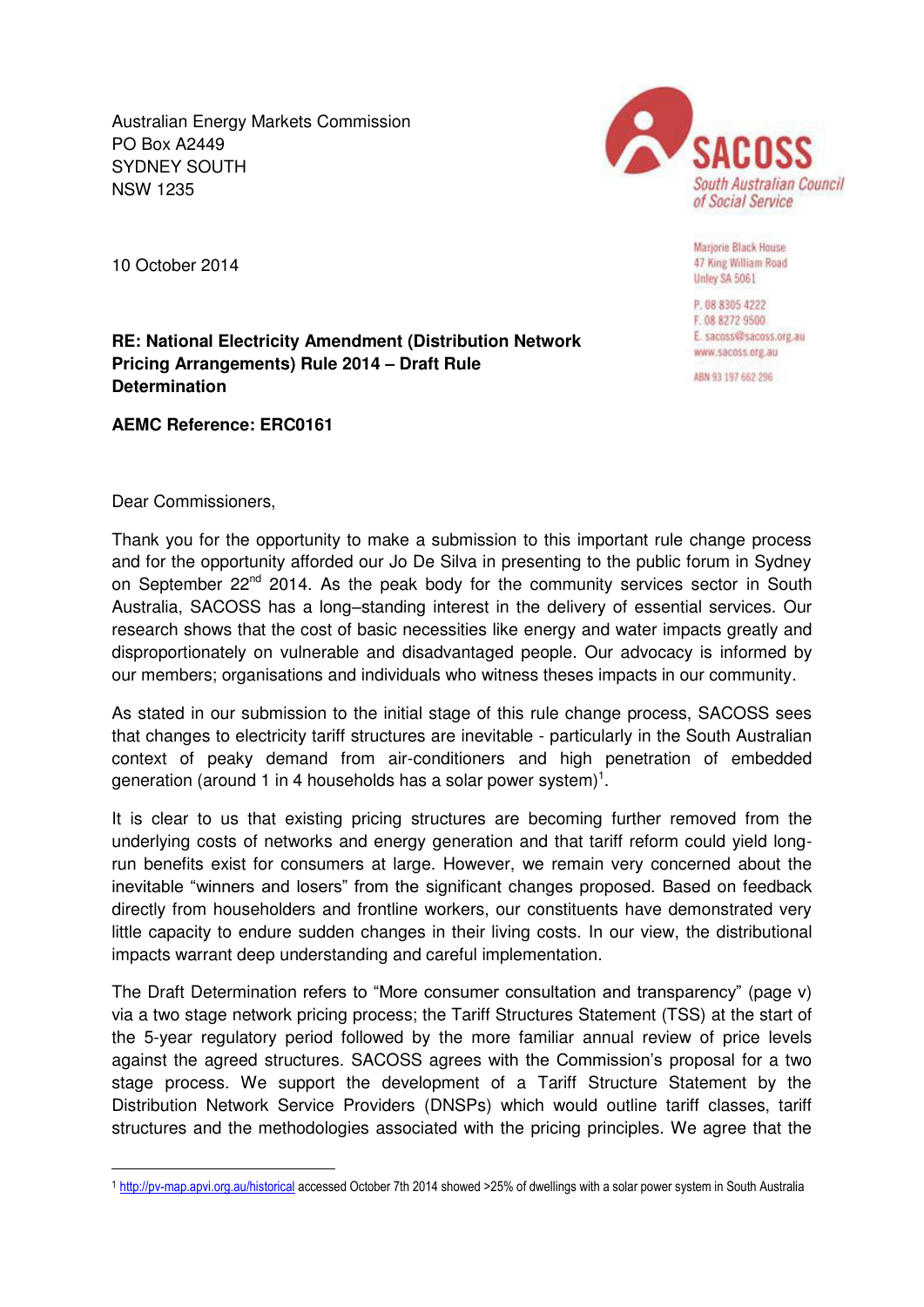Australian Energy Markets Commission PO Box A2449 SYDNEY SOUTH NSW 1235



Marjorie Black House 47 King William Road Unley SA 5061

P. 08 8305 4222 F. 08 8272 9500 E. sacoss@sacoss.org.au www.sacoss.org.au

ABN 93 197 662 296

10 October 2014

**RE: National Electricity Amendment (Distribution Network Pricing Arrangements) Rule 2014 – Draft Rule Determination** 

**AEMC Reference: ERC0161** 

Dear Commissioners,

 $\overline{a}$ 

Thank you for the opportunity to make a submission to this important rule change process and for the opportunity afforded our Jo De Silva in presenting to the public forum in Sydney on September  $22^{nd}$  2014. As the peak body for the community services sector in South Australia, SACOSS has a long–standing interest in the delivery of essential services. Our research shows that the cost of basic necessities like energy and water impacts greatly and disproportionately on vulnerable and disadvantaged people. Our advocacy is informed by our members; organisations and individuals who witness theses impacts in our community.

As stated in our submission to the initial stage of this rule change process, SACOSS sees that changes to electricity tariff structures are inevitable - particularly in the South Australian context of peaky demand from air-conditioners and high penetration of embedded generation (around 1 in 4 households has a solar power system)<sup>1</sup>.

It is clear to us that existing pricing structures are becoming further removed from the underlying costs of networks and energy generation and that tariff reform could yield longrun benefits exist for consumers at large. However, we remain very concerned about the inevitable "winners and losers" from the significant changes proposed. Based on feedback directly from householders and frontline workers, our constituents have demonstrated very little capacity to endure sudden changes in their living costs. In our view, the distributional impacts warrant deep understanding and careful implementation.

The Draft Determination refers to "More consumer consultation and transparency" (page v) via a two stage network pricing process; the Tariff Structures Statement (TSS) at the start of the 5-year regulatory period followed by the more familiar annual review of price levels against the agreed structures. SACOSS agrees with the Commission's proposal for a two stage process. We support the development of a Tariff Structure Statement by the Distribution Network Service Providers (DNSPs) which would outline tariff classes, tariff structures and the methodologies associated with the pricing principles. We agree that the

<sup>1</sup> <http://pv-map.apvi.org.au/historical>accessed October 7th 2014 showed >25% of dwellings with a solar power system in South Australia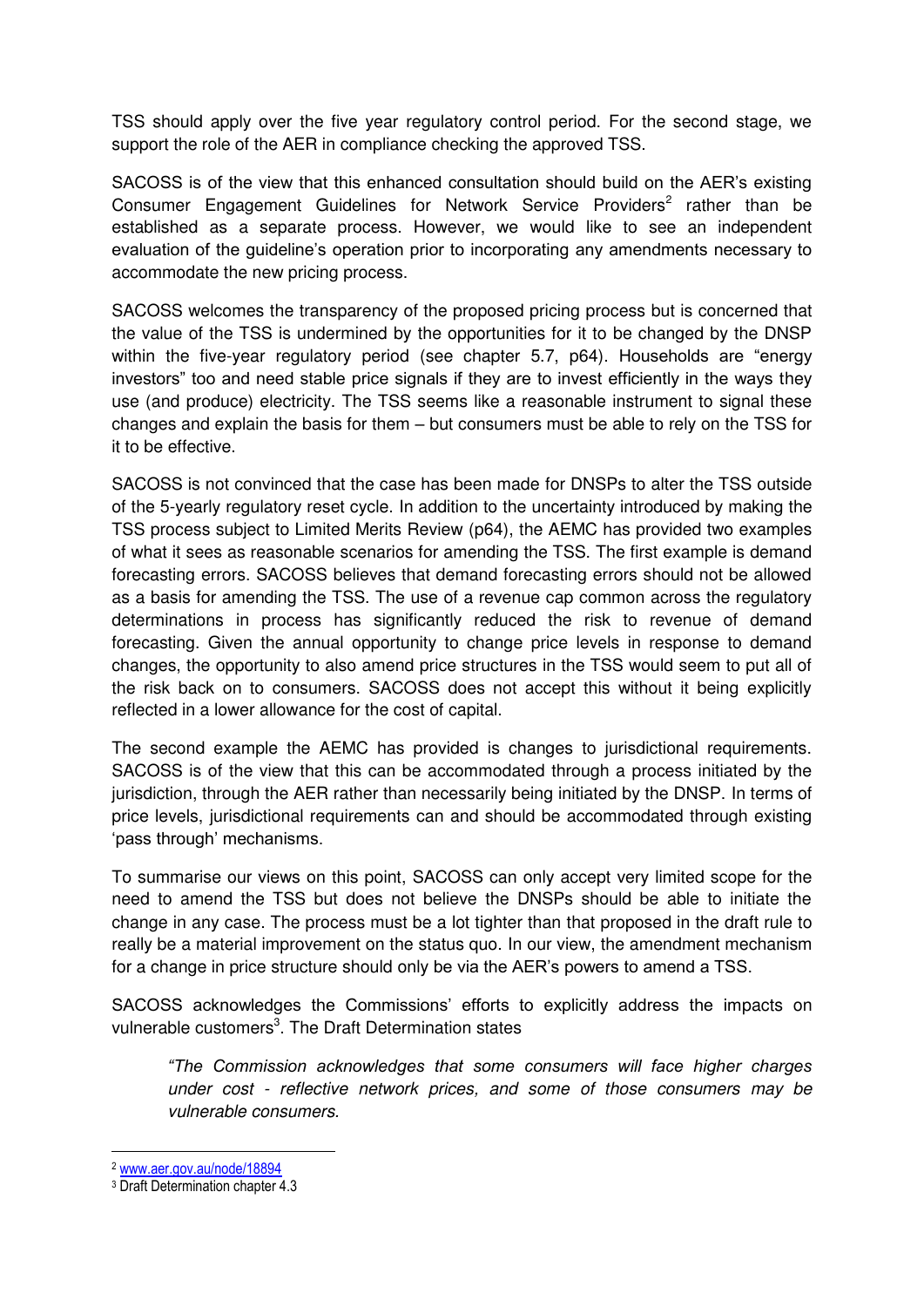TSS should apply over the five year regulatory control period. For the second stage, we support the role of the AER in compliance checking the approved TSS.

SACOSS is of the view that this enhanced consultation should build on the AER's existing Consumer Engagement Guidelines for Network Service Providers<sup>2</sup> rather than be established as a separate process. However, we would like to see an independent evaluation of the guideline's operation prior to incorporating any amendments necessary to accommodate the new pricing process.

SACOSS welcomes the transparency of the proposed pricing process but is concerned that the value of the TSS is undermined by the opportunities for it to be changed by the DNSP within the five-year regulatory period (see chapter 5.7, p64). Households are "energy investors" too and need stable price signals if they are to invest efficiently in the ways they use (and produce) electricity. The TSS seems like a reasonable instrument to signal these changes and explain the basis for them – but consumers must be able to rely on the TSS for it to be effective.

SACOSS is not convinced that the case has been made for DNSPs to alter the TSS outside of the 5-yearly regulatory reset cycle. In addition to the uncertainty introduced by making the TSS process subject to Limited Merits Review (p64), the AEMC has provided two examples of what it sees as reasonable scenarios for amending the TSS. The first example is demand forecasting errors. SACOSS believes that demand forecasting errors should not be allowed as a basis for amending the TSS. The use of a revenue cap common across the regulatory determinations in process has significantly reduced the risk to revenue of demand forecasting. Given the annual opportunity to change price levels in response to demand changes, the opportunity to also amend price structures in the TSS would seem to put all of the risk back on to consumers. SACOSS does not accept this without it being explicitly reflected in a lower allowance for the cost of capital.

The second example the AEMC has provided is changes to jurisdictional requirements. SACOSS is of the view that this can be accommodated through a process initiated by the jurisdiction, through the AER rather than necessarily being initiated by the DNSP. In terms of price levels, jurisdictional requirements can and should be accommodated through existing 'pass through' mechanisms.

To summarise our views on this point, SACOSS can only accept very limited scope for the need to amend the TSS but does not believe the DNSPs should be able to initiate the change in any case. The process must be a lot tighter than that proposed in the draft rule to really be a material improvement on the status quo. In our view, the amendment mechanism for a change in price structure should only be via the AER's powers to amend a TSS.

SACOSS acknowledges the Commissions' efforts to explicitly address the impacts on vulnerable customers<sup>3</sup>. The Draft Determination states

*"The Commission acknowledges that some consumers will face higher charges under cost - reflective network prices, and some of those consumers may be vulnerable consumers.* 

<sup>2</sup> [www.aer.gov.au/node/18894](http://www.aer.gov.au/node/18894) 

<sup>3</sup> Draft Determination chapter 4.3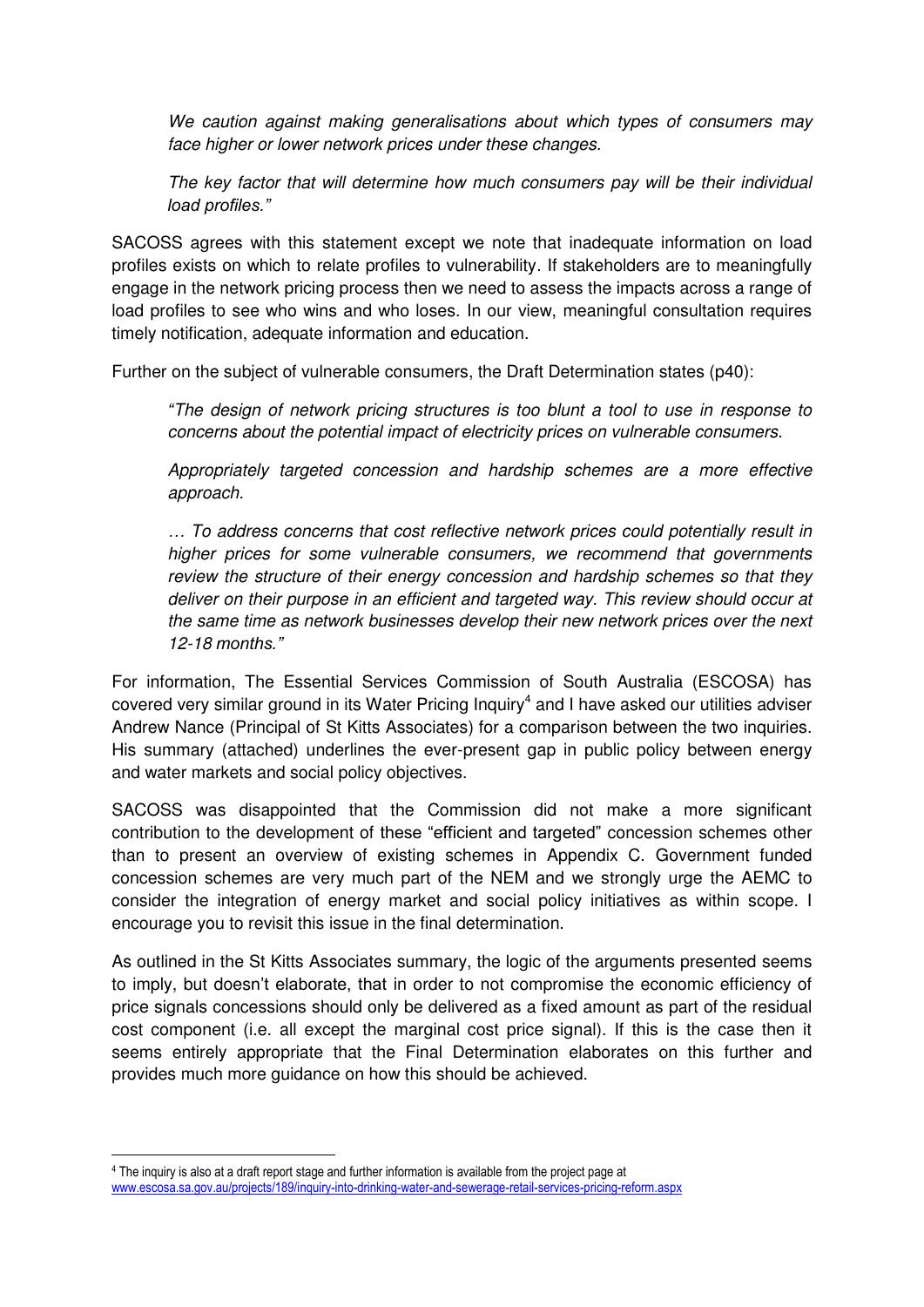*We caution against making generalisations about which types of consumers may face higher or lower network prices under these changes.* 

*The key factor that will determine how much consumers pay will be their individual load profiles."*

SACOSS agrees with this statement except we note that inadequate information on load profiles exists on which to relate profiles to vulnerability. If stakeholders are to meaningfully engage in the network pricing process then we need to assess the impacts across a range of load profiles to see who wins and who loses. In our view, meaningful consultation requires timely notification, adequate information and education.

Further on the subject of vulnerable consumers, the Draft Determination states (p40):

*"The design of network pricing structures is too blunt a tool to use in response to concerns about the potential impact of electricity prices on vulnerable consumers.* 

*Appropriately targeted concession and hardship schemes are a more effective approach.* 

*… To address concerns that cost reflective network prices could potentially result in higher prices for some vulnerable consumers, we recommend that governments review the structure of their energy concession and hardship schemes so that they deliver on their purpose in an efficient and targeted way. This review should occur at the same time as network businesses develop their new network prices over the next 12-18 months."*

For information, The Essential Services Commission of South Australia (ESCOSA) has covered very similar ground in its Water Pricing Inquiry<sup>4</sup> and I have asked our utilities adviser Andrew Nance (Principal of St Kitts Associates) for a comparison between the two inquiries. His summary (attached) underlines the ever-present gap in public policy between energy and water markets and social policy objectives.

SACOSS was disappointed that the Commission did not make a more significant contribution to the development of these "efficient and targeted" concession schemes other than to present an overview of existing schemes in Appendix C. Government funded concession schemes are very much part of the NEM and we strongly urge the AEMC to consider the integration of energy market and social policy initiatives as within scope. I encourage you to revisit this issue in the final determination.

As outlined in the St Kitts Associates summary, the logic of the arguments presented seems to imply, but doesn't elaborate, that in order to not compromise the economic efficiency of price signals concessions should only be delivered as a fixed amount as part of the residual cost component (i.e. all except the marginal cost price signal). If this is the case then it seems entirely appropriate that the Final Determination elaborates on this further and provides much more guidance on how this should be achieved.

<sup>4</sup> The inquiry is also at a draft report stage and further information is available from the project page at [www.escosa.sa.gov.au/projects/189/inquiry-into-drinking-water-and-sewerage-retail-services-pricing-reform.aspx](http://www.escosa.sa.gov.au/projects/189/inquiry-into-drinking-water-and-sewerage-retail-services-pricing-reform.aspx)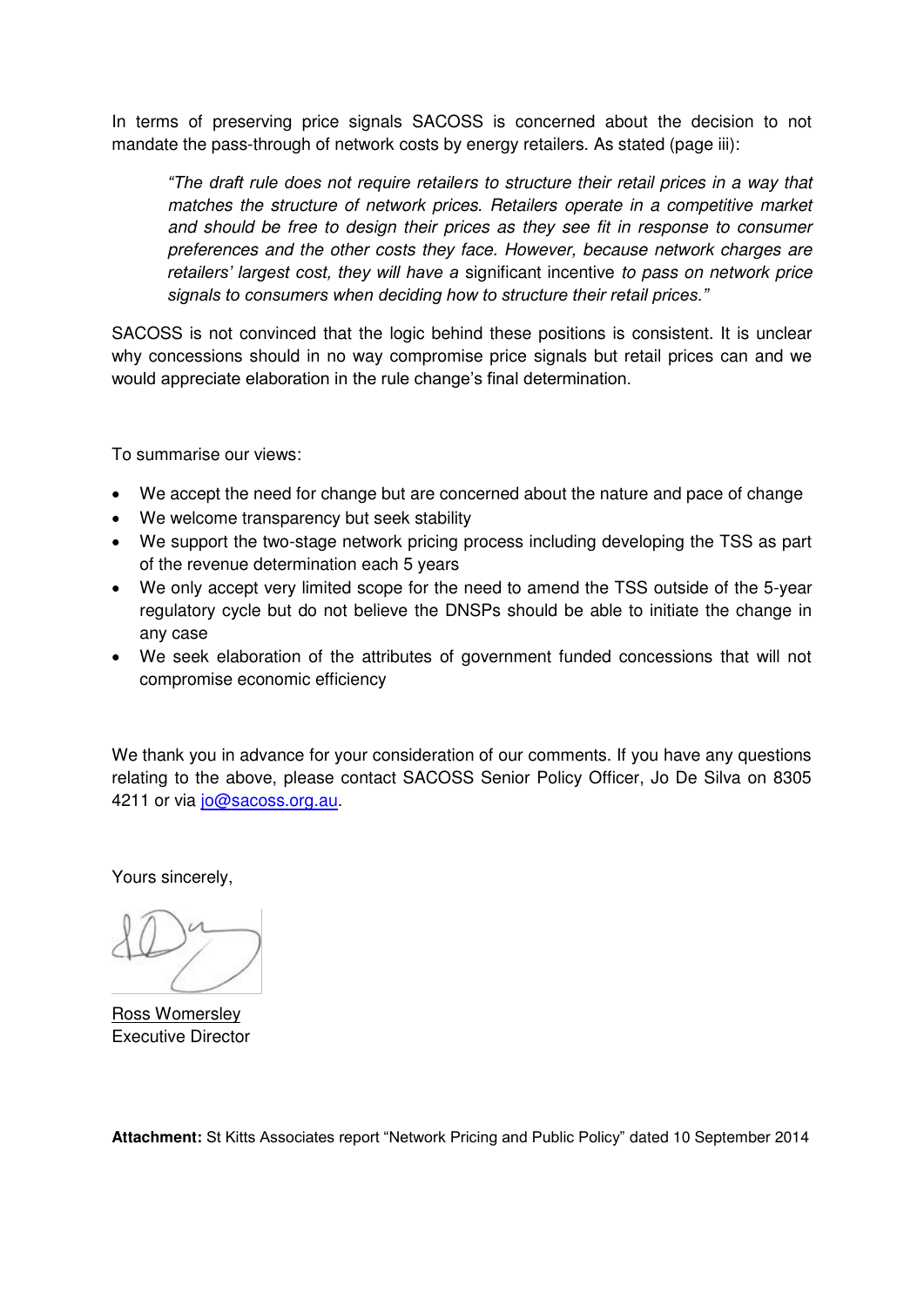In terms of preserving price signals SACOSS is concerned about the decision to not mandate the pass-through of network costs by energy retailers. As stated (page iii):

*"The draft rule does not require retailers to structure their retail prices in a way that matches the structure of network prices. Retailers operate in a competitive market and should be free to design their prices as they see fit in response to consumer preferences and the other costs they face. However, because network charges are retailers' largest cost, they will have a* significant incentive *to pass on network price signals to consumers when deciding how to structure their retail prices."*

SACOSS is not convinced that the logic behind these positions is consistent. It is unclear why concessions should in no way compromise price signals but retail prices can and we would appreciate elaboration in the rule change's final determination.

To summarise our views:

- We accept the need for change but are concerned about the nature and pace of change
- We welcome transparency but seek stability
- We support the two-stage network pricing process including developing the TSS as part of the revenue determination each 5 years
- We only accept very limited scope for the need to amend the TSS outside of the 5-year regulatory cycle but do not believe the DNSPs should be able to initiate the change in any case
- We seek elaboration of the attributes of government funded concessions that will not compromise economic efficiency

We thank you in advance for your consideration of our comments. If you have any questions relating to the above, please contact SACOSS Senior Policy Officer, Jo De Silva on 8305 4211 or via [jo@sacoss.org.au.](mailto:jo@sacoss.org.au)

Yours sincerely,

Ross Womersley Executive Director

**Attachment:** St Kitts Associates report "Network Pricing and Public Policy" dated 10 September 2014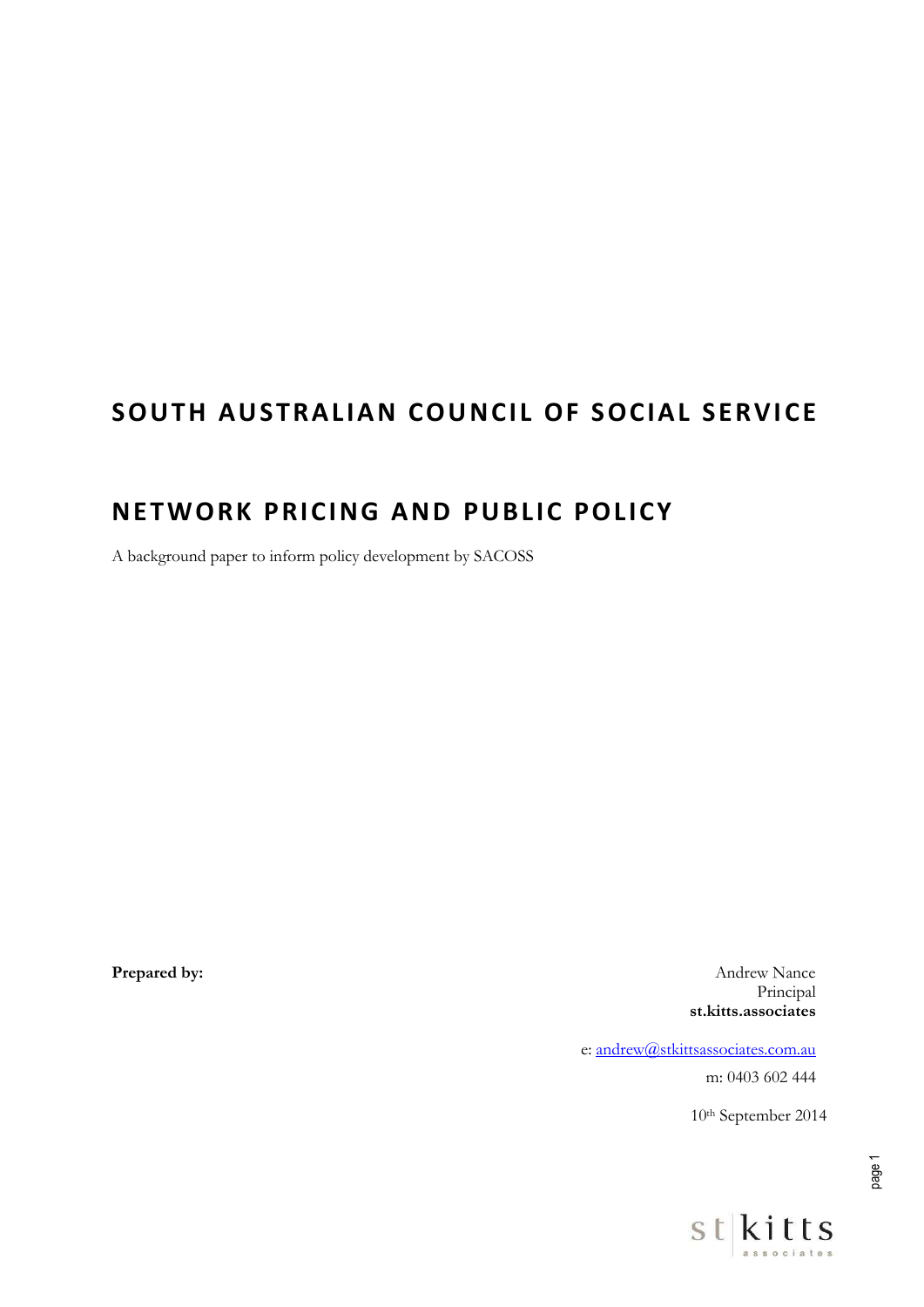# **SOUTH AUSTRALIAN COUNCIL OF SOCIAL SERVICE**

## **NETWORK PRICING AND PUBLIC POLICY**

A background paper to inform policy development by SACOSS

**Prepared by:** Andrew Nance Principal **st.kitts.associates** 

e: [andrew@stkittsassociates.com.au](mailto:andrew@stkittsassociates.com.au) 

m: 0403 602 444

10th September 2014

page 1

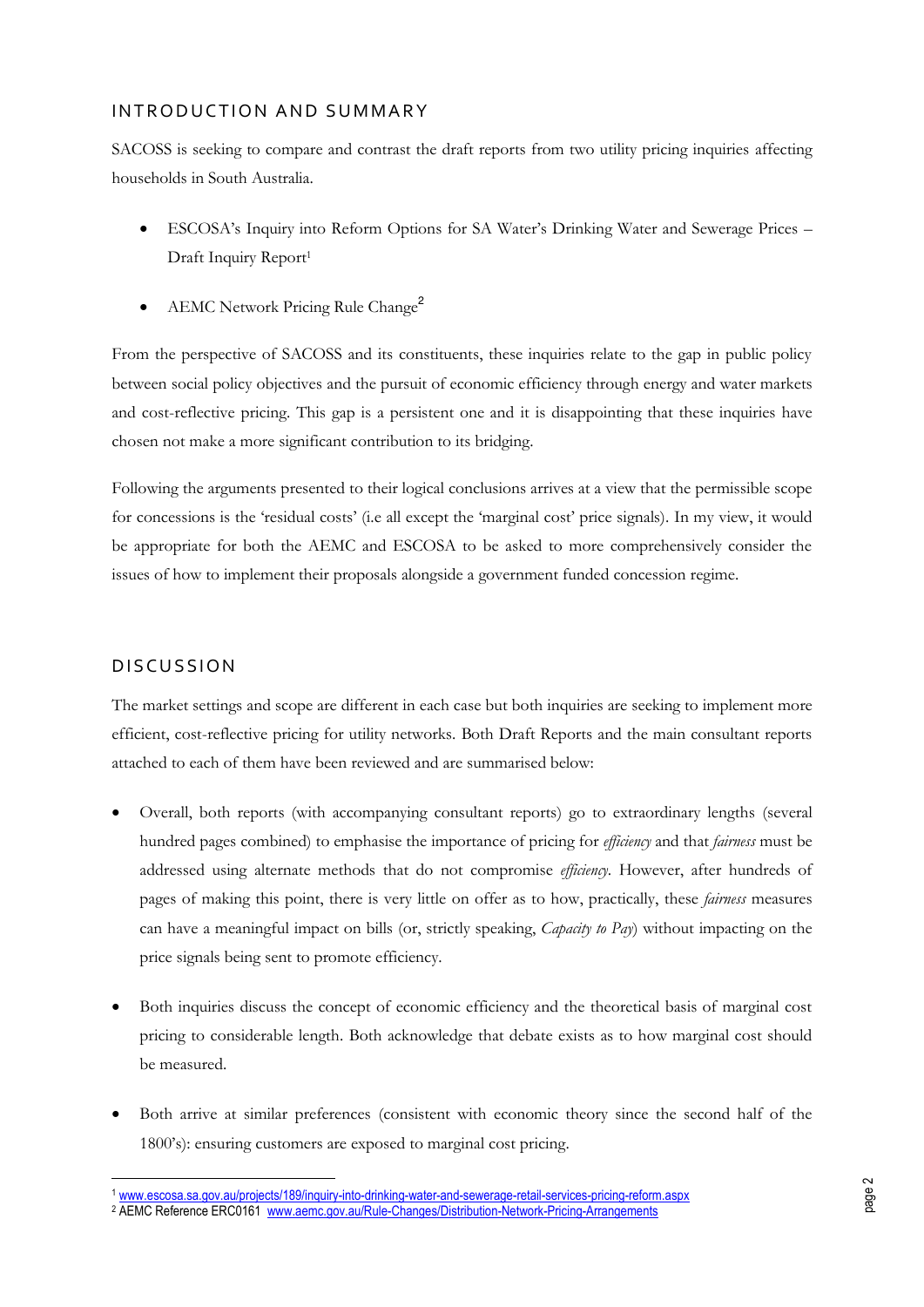#### IN TRODUCTION AND SUMMARY

SACOSS is seeking to compare and contrast the draft reports from two utility pricing inquiries affecting households in South Australia.

- ESCOSA's Inquiry into Reform Options for SA Water's Drinking Water and Sewerage Prices Draft Inquiry Report<sup>1</sup>
- AEMC Network Pricing Rule Change<sup>2</sup>

From the perspective of SACOSS and its constituents, these inquiries relate to the gap in public policy between social policy objectives and the pursuit of economic efficiency through energy and water markets and cost-reflective pricing. This gap is a persistent one and it is disappointing that these inquiries have chosen not make a more significant contribution to its bridging.

Following the arguments presented to their logical conclusions arrives at a view that the permissible scope for concessions is the 'residual costs' (i.e all except the 'marginal cost' price signals). In my view, it would be appropriate for both the AEMC and ESCOSA to be asked to more comprehensively consider the issues of how to implement their proposals alongside a government funded concession regime.

### **DISCUSSION**

 $\overline{a}$ 

<span id="page-5-0"></span>The market settings and scope are different in each case but both inquiries are seeking to implement more efficient, cost-reflective pricing for utility networks. Both Draft Reports and the main consultant reports attached to each of them have been reviewed and are summarised below:

- Overall, both reports (with accompanying consultant reports) go to extraordinary lengths (several hundred pages combined) to emphasise the importance of pricing for *efficiency* and that *fairness* must be addressed using alternate methods that do not compromise *efficiency*. However, after hundreds of pages of making this point, there is very little on offer as to how, practically, these *fairness* measures can have a meaningful impact on bills (or, strictly speaking, *Capacity to Pay*) without impacting on the price signals being sent to promote efficiency.
- Both inquiries discuss the concept of economic efficiency and the theoretical basis of marginal cost pricing to considerable length. Both acknowledge that debate exists as to how marginal cost should be measured.
- Both arrive at similar preferences (consistent with economic theory since the second half of the 1800's): ensuring customers are exposed to marginal cost pricing.

<sup>1</sup> [www.escosa.sa.gov.au/projects/189/inquiry-into-drinking-water-and-sewerage-retail-services-pricing-reform.aspx](http://www.escosa.sa.gov.au/projects/189/inquiry-into-drinking-water-and-sewerage-retail-services-pricing-reform.aspx)  <sup>2</sup> AEMC Reference ERC0161 [www.aemc.gov.au/Rule-Changes/Distribution-Network-Pricing-Arrangements](http://www.aemc.gov.au/Rule-Changes/Distribution-Network-Pricing-Arrangements)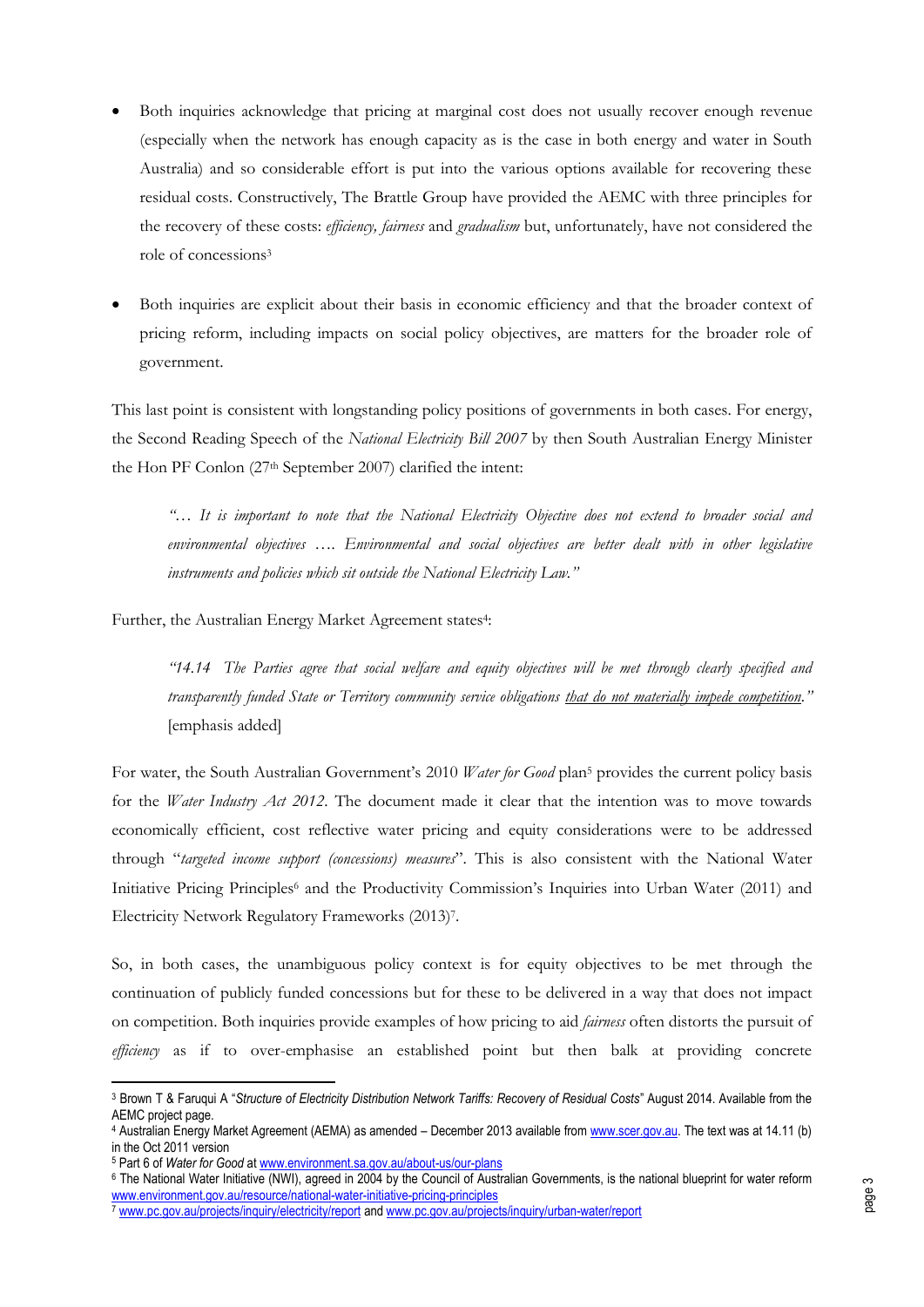- Both inquiries acknowledge that pricing at marginal cost does not usually recover enough revenue (especially when the network has enough capacity as is the case in both energy and water in South Australia) and so considerable effort is put into the various options available for recovering these residual costs. Constructively, The Brattle Group have provided the AEMC with three principles for the recovery of these costs: *efficiency, fairness* and *gradualism* but, unfortunately, have not considered the role of concessions<sup>3</sup>
- Both inquiries are explicit about their basis in economic efficiency and that the broader context of pricing reform, including impacts on social policy objectives, are matters for the broader role of government.

This last point is consistent with longstanding policy positions of governments in both cases. For energy, the Second Reading Speech of the *National Electricity Bill 2007* by then South Australian Energy Minister the Hon PF Conlon (27th September 2007) clarified the intent:

*"… It is important to note that the National Electricity Objective does not extend to broader social and environmental objectives …. Environmental and social objectives are better dealt with in other legislative instruments and policies which sit outside the National Electricity Law."*

Further, the Australian Energy Market Agreement states<sup>4</sup>:

*"14.14 The Parties agree that social welfare and equity objectives will be met through clearly specified and transparently funded State or Territory community service obligations that do not materially impede competition."*  [emphasis added]

For water, the South Australian Government's 2010 Water for Good plan<sup>5</sup> provides the current policy basis for the *Water Industry Act 2012*. The document made it clear that the intention was to move towards economically efficient, cost reflective water pricing and equity considerations were to be addressed through "*targeted income support (concessions) measures*". This is also consistent with the National Water Initiative Pricing Principles<sup>6</sup> and the Productivity Commission's Inquiries into Urban Water (2011) and Electricity Network Regulatory Frameworks (2013)<sup>7</sup> .

So, in both cases, the unambiguous policy context is for equity objectives to be met through the continuation of publicly funded concessions but for these to be delivered in a way that does not impact on competition. Both inquiries provide examples of how pricing to aid *fairness* often distorts the pursuit of *efficiency* as if to over-emphasise an established point but then balk at providing concrete

<sup>3</sup> Brown T & Faruqui A "*Structure of Electricity Distribution Network Tariffs: Recovery of Residual Costs*" August 2014. Available from the AEMC project page.

<sup>&</sup>lt;sup>4</sup> Australian Energy Market Agreement (AEMA) as amended – December 2013 available fro[m www.scer.gov.au.](http://www.scer.gov.au/) The text was at 14.11 (b) in the Oct 2011 version

<sup>5</sup> Part 6 of *Water for Good* a[t www.environment.sa.gov.au/about-us/our-plans](http://www.environment.sa.gov.au/about-us/our-plans) 

<sup>6</sup>  [The National Water Initiative \(NWI\), agreed in 2004 by the Council of Australian Governments, is the national blueprint for water reform](http://www.environment.gov.au/resource/national-water-initiative-pricing-principles)  [www.environment.gov.au/resource/national-water-initiative-pricing-principles](http://www.environment.gov.au/resource/national-water-initiative-pricing-principles) 

<sup>7</sup> [www.pc.gov.au/projects/inquiry/electricity/report](http://www.pc.gov.au/projects/inquiry/electricity/report) an[d www.pc.gov.au/projects/inquiry/urban-water/report](http://www.pc.gov.au/projects/inquiry/urban-water/report)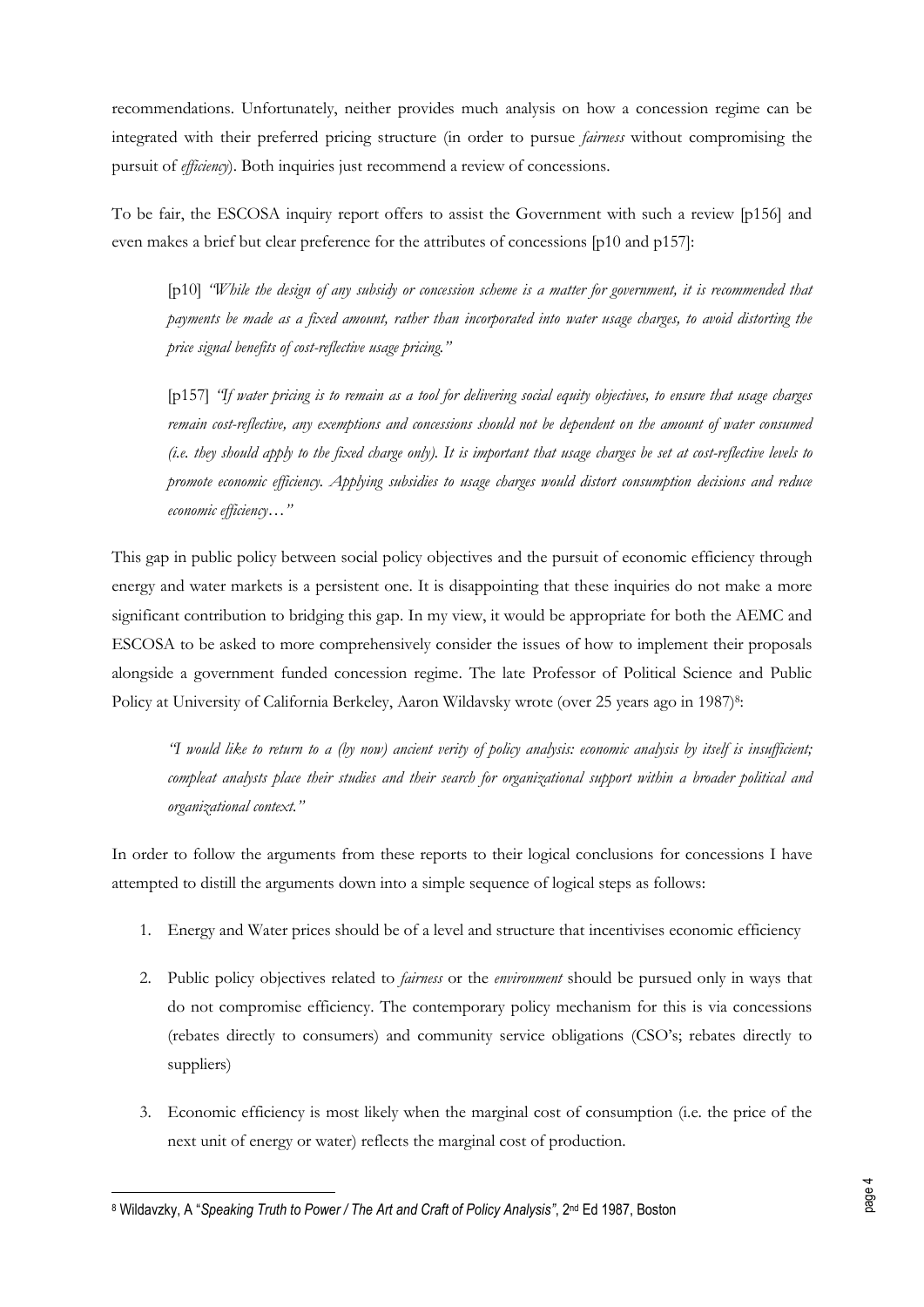recommendations. Unfortunately, neither provides much analysis on how a concession regime can be integrated with their preferred pricing structure (in order to pursue *fairness* without compromising the pursuit of *efficiency*). Both inquiries just recommend a review of concessions.

To be fair, the ESCOSA inquiry report offers to assist the Government with such a review [p156] and even makes a brief but clear preference for the attributes of concessions [p10 and p157]:

[p10] *"While the design of any subsidy or concession scheme is a matter for government, it is recommended that payments be made as a fixed amount, rather than incorporated into water usage charges, to avoid distorting the price signal benefits of cost-reflective usage pricing."*

[p157] *"If water pricing is to remain as a tool for delivering social equity objectives, to ensure that usage charges remain cost-reflective, any exemptions and concessions should not be dependent on the amount of water consumed (i.e. they should apply to the fixed charge only). It is important that usage charges be set at cost-reflective levels to promote economic efficiency. Applying subsidies to usage charges would distort consumption decisions and reduce economic efficiency…"*

This gap in public policy between social policy objectives and the pursuit of economic efficiency through energy and water markets is a persistent one. It is disappointing that these inquiries do not make a more significant contribution to bridging this gap. In my view, it would be appropriate for both the AEMC and ESCOSA to be asked to more comprehensively consider the issues of how to implement their proposals alongside a government funded concession regime. The late Professor of Political Science and Public Policy at University of California Berkeley, Aaron Wildavsky wrote (over 25 years ago in 1987)8:

*"I would like to return to a (by now) ancient verity of policy analysis: economic analysis by itself is insufficient; compleat analysts place their studies and their search for organizational support within a broader political and organizational context."*

In order to follow the arguments from these reports to their logical conclusions for concessions I have attempted to distill the arguments down into a simple sequence of logical steps as follows:

- 1. Energy and Water prices should be of a level and structure that incentivises economic efficiency
- 2. Public policy objectives related to *fairness* or the *environment* should be pursued only in ways that do not compromise efficiency. The contemporary policy mechanism for this is via concessions (rebates directly to consumers) and community service obligations (CSO's; rebates directly to suppliers)
- 3. Economic efficiency is most likely when the marginal cost of consumption (i.e. the price of the next unit of energy or water) reflects the marginal cost of production.

<sup>8</sup> Wildavzky, A "*Speaking Truth to Power / The Art and Craft of Policy Analysis", 2<u>nd Ed 1987, Boston</u>*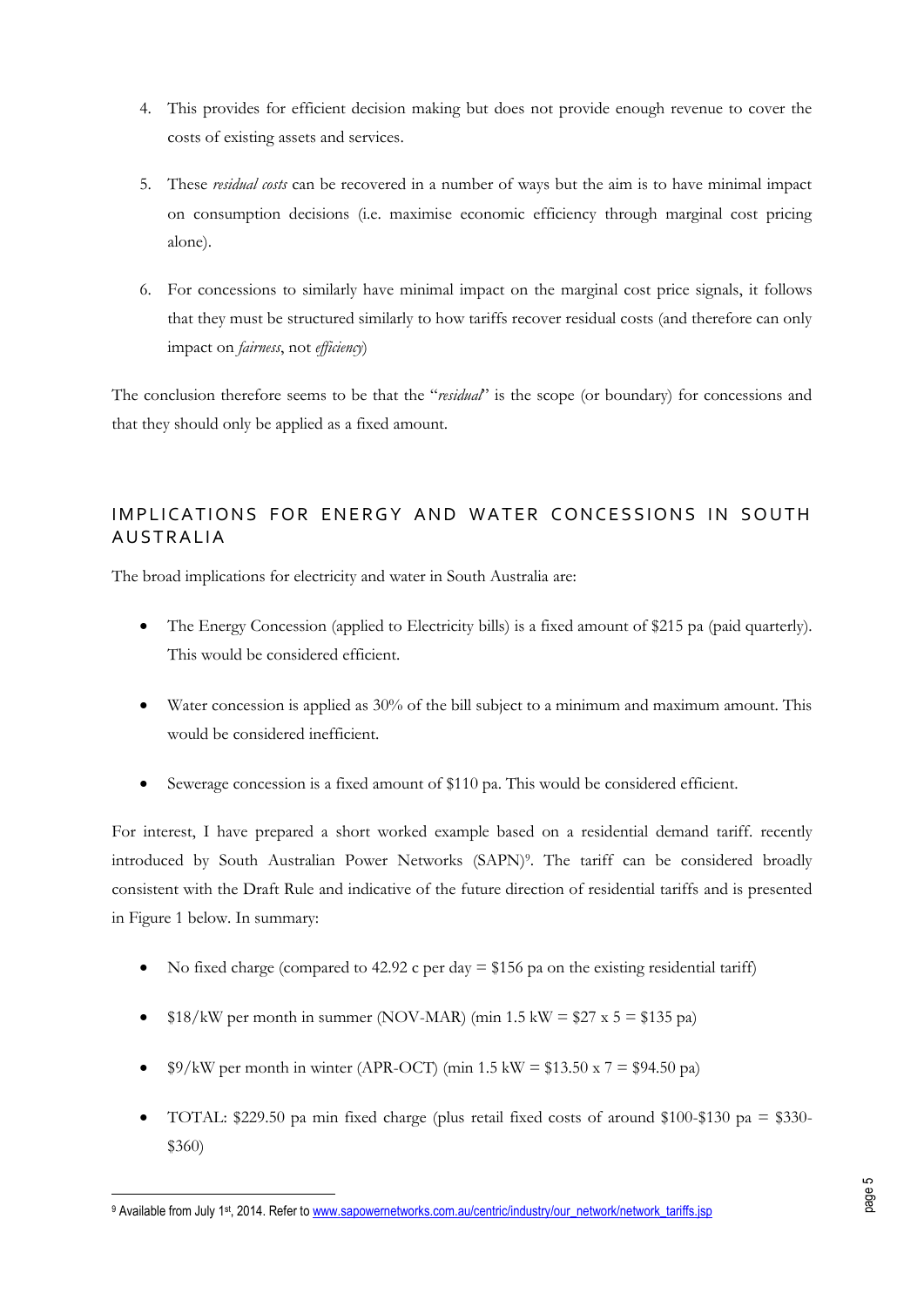- 4. This provides for efficient decision making but does not provide enough revenue to cover the costs of existing assets and services.
- 5. These *residual costs* can be recovered in a number of ways but the aim is to have minimal impact on consumption decisions (i.e. maximise economic efficiency through marginal cost pricing alone).
- 6. For concessions to similarly have minimal impact on the marginal cost price signals, it follows that they must be structured similarly to how tariffs recover residual costs (and therefore can only impact on *fairness*, not *efficiency*)

The conclusion therefore seems to be that the "*residual*" is the scope (or boundary) for concessions and that they should only be applied as a fixed amount.

## IMPLICATIONS FOR ENERGY AND WATER CONCESSIONS IN SOUTH **AUSTRALIA**

The broad implications for electricity and water in South Australia are:

- The Energy Concession (applied to Electricity bills) is a fixed amount of \$215 pa (paid quarterly). This would be considered efficient.
- Water concession is applied as 30% of the bill subject to a minimum and maximum amount. This would be considered inefficient.
- Sewerage concession is a fixed amount of \$110 pa. This would be considered efficient.

For interest, I have prepared a short worked example based on a residential demand tariff. recently introduced by South Australian Power Networks (SAPN)<sup>9</sup> . The tariff can be considered broadly consistent with the Draft Rule and indicative of the future direction of residential tariffs and is presented in [Figure 1](#page-5-0) below. In summary:

- No fixed charge (compared to 42.92 c per day  $= $156$  pa on the existing residential tariff)
- $\bullet$  \$18/kW per month in summer (NOV-MAR) (min 1.5 kW = \$27 x 5 = \$135 pa)
- $\frac{\$9}{kW}$  per month in winter (APR-OCT) (min 1.5 kW = \$13.50 x 7 = \$94.50 pa)
- TOTAL: \$229.50 pa min fixed charge (plus retail fixed costs of around \$100-\$130 pa = \$330- \$360)

<sup>&</sup>lt;sup>9</sup> Available from July 1<sup>st</sup>, 2014. Refer to www.sapowernetworks.com.au/centric/industry/our\_network/network\_tariffs.jsp